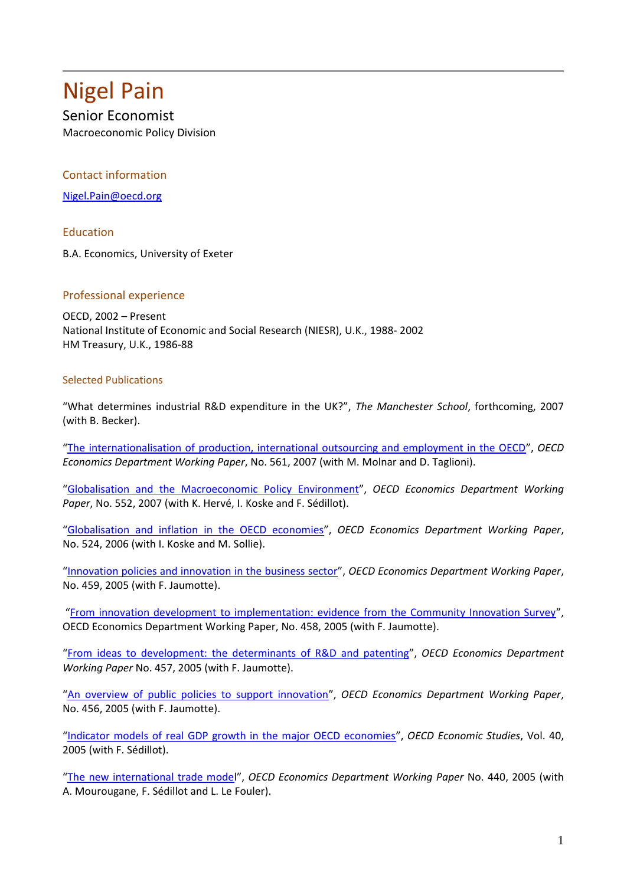## Nigel Pain

Senior Economist

Macroeconomic Policy Division

## Contact information

[Nigel.Pain@oecd.org](mailto:Nigel.Pain@oecd.org)

Education

B.A. Economics, University of Exeter

## Professional experience

OECD, 2002 – Present National Institute of Economic and Social Research (NIESR), U.K., 1988- 2002 HM Treasury, U.K., 1986-88

## Selected Publications

"What determines industrial R&D expenditure in the UK?", *The Manchester School*, forthcoming, 2007 (with B. Becker).

"[The internationalisation of production, international outsourcing and employment in the OECD](http://www.olis.oecd.org/olis/2007doc.nsf/43bb6130e5e86e5fc12569fa005d004c/16cc104453b93fd6c125730e0053cd88/$FILE/JT03229961.PDF)", *OECD Economics Department Working Paper*, No. 561, 2007 (with M. Molnar and D. Taglioni).

"[Globalisation and the Macroeconomic Policy Environment](http://www.olis.oecd.org/olis/2007doc.nsf/87fae4004d4fa67ac125685d005300b3/f399f1cb3d89ebe6c12572d100328ab8/$FILE/JT03226466.PDF)", *OECD Economics Department Working Paper*, No. 552, 2007 (with K. Hervé, I. Koske and F. Sédillot).

"[Globalisation and inflation in the OECD economies](http://www.olis.oecd.org/olis/2006doc.nsf/43bb6130e5e86e5fc12569fa005d004c/fb063b60393da7aac12572350031ca96/$FILE/JT03218198.PDF)", *OECD Economics Department Working Paper*, No. 524, 2006 (with I. Koske and M. Sollie).

"[Innovation policies and innovation in the business sector](http://www.olis.oecd.org/olis/2005doc.nsf/43bb6130e5e86e5fc12569fa005d004c/5d1216660b7d83dcc12570ce00322178/$FILE/JT00195405.PDF)", *OECD Economics Department Working Paper*, No. 459, 2005 (with F. Jaumotte).

"[From innovation development to implementation: evidence from the Community Innovation Survey](http://www.olis.oecd.org/olis/2005doc.nsf/43bb6130e5e86e5fc12569fa005d004c/998beb372a53d7c2c12570ce00321fdc/$FILE/JT00195404.PDF)", OECD Economics Department Working Paper, No. 458, 2005 (with F. Jaumotte).

"[From ideas to development: the determinants of R&D and patenting](http://www.olis.oecd.org/olis/2005doc.nsf/43bb6130e5e86e5fc12569fa005d004c/05b3de19e9f416c2c12570ce00321e33/$FILE/JT00195420.PDF)", *OECD Economics Department Working Paper* No. 457, 2005 (with F. Jaumotte).

"[An overview of public policies to support innovation](http://www.olis.oecd.org/olis/2005doc.nsf/43bb6130e5e86e5fc12569fa005d004c/0c46ed29c8864724c12570ce00321cee/$FILE/JT00195380.PDF)", *OECD Economics Department Working Paper*, No. 456, 2005 (with F. Jaumotte).

"[Indicator models of real GDP growth in the major OECD economies](http://www.oecd.org/document/18/0,3343,en_2649_37443_35654546_1_1_1_37443,00.html)", *OECD Economic Studies*, Vol. 40, 2005 (with F. Sédillot).

"[The new international trade model](http://www.olis.oecd.org/olis/2005doc.nsf/43bb6130e5e86e5fc12569fa005d004c/d604422badb45a16c1257059004c5f89/$FILE/JT00188175.PDF)", *OECD Economics Department Working Paper* No. 440, 2005 (with A. Mourougane, F. Sédillot and L. Le Fouler).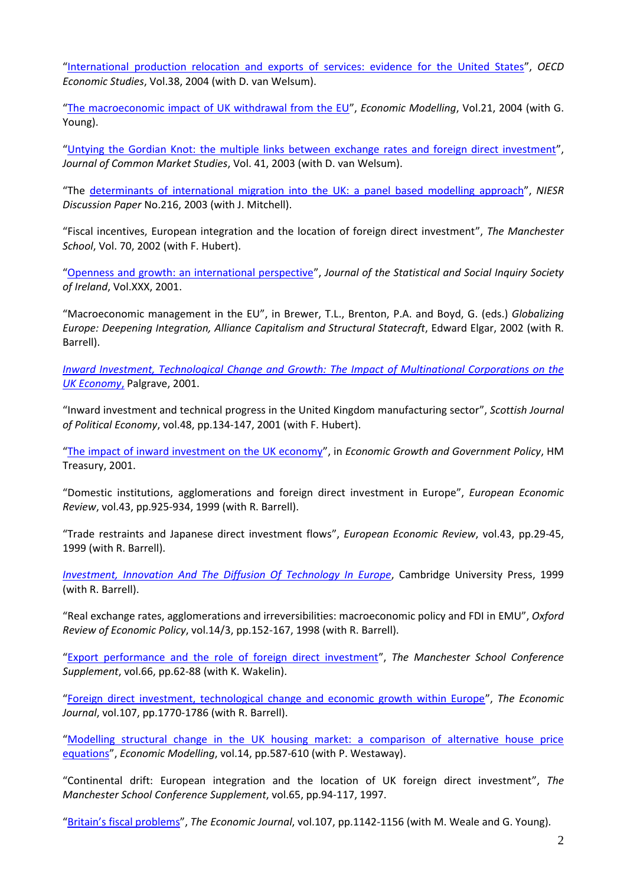"[International production relocation and exports of services: evidence for the United States](http://www.oecd.org/dataoecd/15/53/35028220.pdf)", *OECD Economic Studies*, Vol.38, 2004 (with D. van Welsum).

"[The macroeconomic impact of UK withdrawal from the EU](http://www.sciencedirect.com/science?_ob=ArticleURL&_udi=B6VB1-4C52PST-1&_user=946274&_coverDate=05%2F31%2F2004&_rdoc=1&_fmt=&_orig=search&_sort=d&view=c&_acct=C000049020&_version=1&_urlVersion=0&_userid=946274&md5=e913d0f1442bcf0a67b22ed508918705)", *Economic Modelling*, Vol.21, 2004 (with G. Young).

"[Untying the Gordian Knot: the multiple links between exchange rates and foreign direct investment](http://www.blackwell-synergy.com/doi/abs/10.1111/j.1468-5965.2003.00465.x)", *Journal of Common Market Studies*, Vol. 41, 2003 (with D. van Welsum).

"The [determinants of international migration into the UK: a panel based modelling approach](http://www.niesr.ac.uk/pubs/searchdetail.php?PublicationID=126)", *NIESR Discussion Paper* No.216, 2003 (with J. Mitchell).

"Fiscal incentives, European integration and the location of foreign direct investment", *The Manchester School*, Vol. 70, 2002 (with F. Hubert).

"[Openness and growth: an international perspective](http://www.tara.tcd.ie/bitstream/2262/8688/1/jssisiVolXXX_140158.pdf)", *Journal of the Statistical and Social Inquiry Society of Ireland*, Vol.XXX, 2001.

"Macroeconomic management in the EU", in Brewer, T.L., Brenton, P.A. and Boyd, G. (eds.) *Globalizing Europe: Deepening Integration, Alliance Capitalism and Structural Statecraft*, Edward Elgar, 2002 (with R. Barrell).

*[Inward Investment, Technological Change and Growth: The Impact of Multinational Corporations on the](http://www.palgrave.com/products/title.aspx?PID=262683)  [UK Economy](http://www.palgrave.com/products/title.aspx?PID=262683)*, Palgrave, 2001.

"Inward investment and technical progress in the United Kingdom manufacturing sector", *Scottish Journal of Political Economy*, vol.48, pp.134-147, 2001 (with F. Hubert).

"[The impact of inward investment on the UK economy](http://www.hm-treasury.gov.uk/media/C/E/258.pdf)", in *Economic Growth and Government Policy*, HM Treasury, 2001.

"Domestic institutions, agglomerations and foreign direct investment in Europe", *European Economic Review*, vol.43, pp.925-934, 1999 (with R. Barrell).

"Trade restraints and Japanese direct investment flows", *European Economic Review*, vol.43, pp.29-45, 1999 (with R. Barrell).

*[Investment, Innovation And The Diffusion Of Technology In Europe](http://www.cambridge.org/uk/catalogue/catalogue.asp?isbn=9780521620871)*, Cambridge University Press, 1999 (with R. Barrell).

"Real exchange rates, agglomerations and irreversibilities: macroeconomic policy and FDI in EMU", *Oxford Review of Economic Policy*, vol.14/3, pp.152-167, 1998 (with R. Barrell).

"[Export performance and the role of foreign direct investment](http://www.niesr.ac.uk/pubs/dps/dp131.pdf)", *The Manchester School Conference Supplement*, vol.66, pp.62-88 (with K. Wakelin).

"[Foreign direct investment, technological change and economic growth within Europe](http://www.jstor.org/view/00130133/di983549/98p0493e/0)", *The Economic Journal*, vol.107, pp.1770-1786 (with R. Barrell).

"[Modelling structural change in the UK housing market: a comparison of alternative house price](http://www.niesr.ac.uk/pubs/dps/dp98.pdf)  [equations](http://www.niesr.ac.uk/pubs/dps/dp98.pdf)", *Economic Modelling*, vol.14, pp.587-610 (with P. Westaway).

"Continental drift: European integration and the location of UK foreign direct investment", *The Manchester School Conference Supplement*, vol.65, pp.94-117, 1997.

["Britain's fiscal problems"](http://www.niesr.ac.uk/pubs/searchdetail.php?PublicationID=224), *The Economic Journal*, vol.107, pp.1142-1156 (with M. Weale and G. Young).